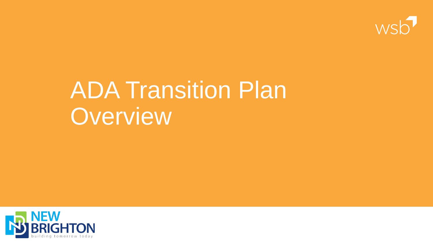

# ADA Transition Plan Overview

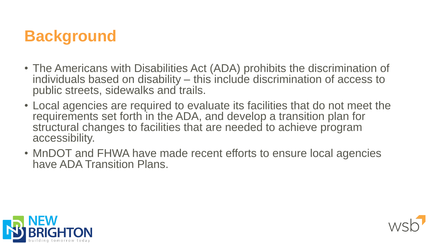## **Background**

- The Americans with Disabilities Act (ADA) prohibits the discrimination of individuals based on disability – this include discrimination of access to public streets, sidewalks and trails.
- Local agencies are required to evaluate its facilities that do not meet the requirements set forth in the ADA, and develop a transition plan for structural changes to facilities that are needed to achieve program accessibility.
- MnDOT and FHWA have made recent efforts to ensure local agencies have ADA Transition Plans.



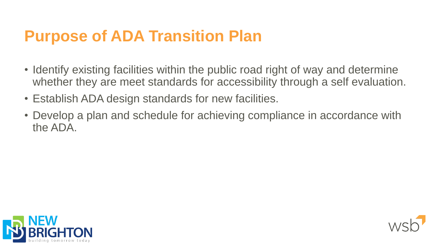## **Purpose of ADA Transition Plan**

- Identify existing facilities within the public road right of way and determine whether they are meet standards for accessibility through a self evaluation.
- Establish ADA design standards for new facilities.
- Develop a plan and schedule for achieving compliance in accordance with the ADA.



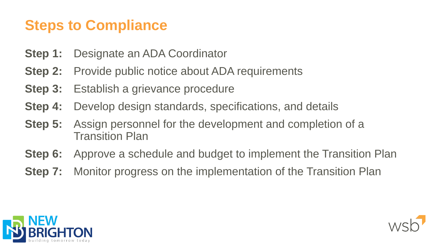### **Steps to Compliance**

- **Step 1:** Designate an ADA Coordinator
- **Step 2:** Provide public notice about ADA requirements
- **Step 3:** Establish a grievance procedure
- **Step 4:** Develop design standards, specifications, and details
- **Step 5:** Assign personnel for the development and completion of a Transition Plan
- **Step 6:** Approve a schedule and budget to implement the Transition Plan
- **Step 7:** Monitor progress on the implementation of the Transition Plan



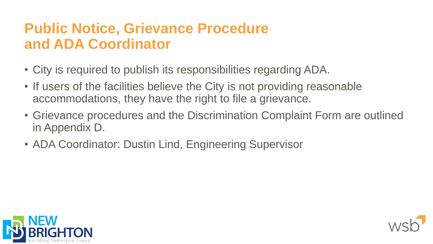### **Public Notice, Grievance Procedure and ADA Coordinator**

- City is required to publish its responsibilities regarding ADA.
- If users of the facilities believe the City is not providing reasonable accommodations, they have the right to file a grievance.
- Grievance procedures and the Discrimination Complaint Form are outlined in Appendix D.
- ADA Coordinator: Dustin Lind, Engineering Supervisor



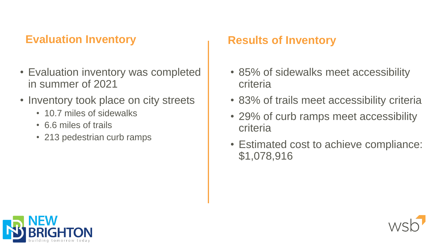#### **Evaluation Inventory**

- Evaluation inventory was completed in summer of 2021
- Inventory took place on city streets
	- 10.7 miles of sidewalks
	- 6.6 miles of trails
	- 213 pedestrian curb ramps

#### **Results of Inventory**

- 85% of sidewalks meet accessibility criteria
- 83% of trails meet accessibility criteria
- 29% of curb ramps meet accessibility criteria
- Estimated cost to achieve compliance: \$1,078,916



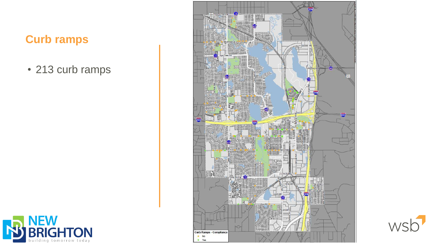#### **Curb ramps**

**NEW<br>BRIGHTON** 

building tomorrow today

K

• 213 curb ramps



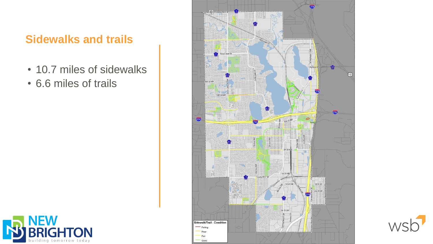#### **Sidewalks and trails**

- 10.7 miles of sidewalks
- 6.6 miles of trails





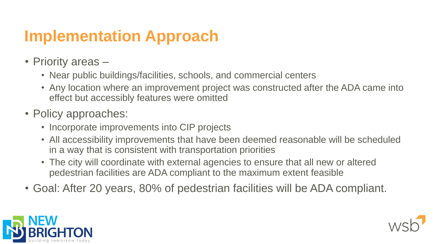# **Implementation Approach**

- Priority areas
	- Near public buildings/facilities, schools, and commercial centers
	- Any location where an improvement project was constructed after the ADA came into effect but accessibly features were omitted
- Policy approaches:
	- Incorporate improvements into CIP projects
	- All accessibility improvements that have been deemed reasonable will be scheduled in a way that is consistent with transportation priorities
	- The city will coordinate with external agencies to ensure that all new or altered pedestrian facilities are ADA compliant to the maximum extent feasible
- Goal: After 20 years, 80% of pedestrian facilities will be ADA compliant.



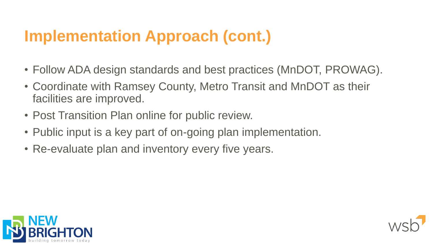# **Implementation Approach (cont.)**

- Follow ADA design standards and best practices (MnDOT, PROWAG).
- Coordinate with Ramsey County, Metro Transit and MnDOT as their facilities are improved.
- Post Transition Plan online for public review.
- Public input is a key part of on-going plan implementation.
- Re-evaluate plan and inventory every five years.